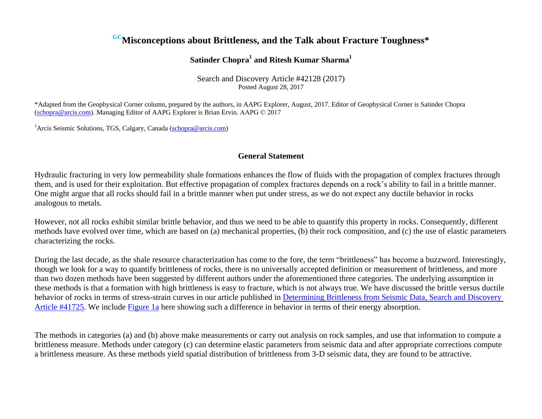# **GCMisconceptions about Brittleness, and the Talk about Fracture Toughness\***

## **Satinder Chopra<sup>1</sup> and Ritesh Kumar Sharma<sup>1</sup>**

Search and Discovery Article #42128 (2017) Posted August 28, 2017

\*Adapted from the Geophysical Corner column, prepared by the authors, in AAPG Explorer, August, 2017. Editor of Geophysical Corner is Satinder Chopra (schopra@arcis.com). Managing Editor of AAPG Explorer is Brian Ervin. AAPG © 2017

<sup>1</sup> Arcis Seismic Solutions, TGS, Calgary, Canada (schopra@arcis.com)

### **General Statement**

Hydraulic fracturing in very low permeability shale formations enhances the flow of fluids with the propagation of complex fractures through them, and is used for their exploitation. But effective propagation of complex fractures depends on a rock's ability to fail in a brittle manner. One might argue that all rocks should fail in a brittle manner when put under stress, as we do not expect any ductile behavior in rocks analogous to metals.

However, not all rocks exhibit similar brittle behavior, and thus we need to be able to quantify this property in rocks. Consequently, different methods have evolved over time, which are based on (a) mechanical properties, (b) their rock composition, and (c) the use of elastic parameters characterizing the rocks.

During the last decade, as the shale resource characterization has come to the fore, the term "brittleness" has become a buzzword. Interestingly, though we look for a way to quantify brittleness of rocks, there is no universally accepted definition or measurement of brittleness, and more than two dozen methods have been suggested by different authors under the aforementioned three categories. The underlying assumption in these methods is that a formation with high brittleness is easy to fracture, which is not always true. We have discussed the brittle versus ductile behavior of rocks in terms of stress-strain curves in our article published in [Determining Brittleness from Seismic Data, Search and Discovery](http://www.searchanddiscovery.com/pdfz/documents/2015/41725chopra/ndx_chopra.pdf.html) [Article #41725.](http://www.searchanddiscovery.com/pdfz/documents/2015/41725chopra/ndx_chopra.pdf.html) We include [Figure 1a](#page-3-0) here showing such a difference in behavior in terms of their energy absorption.

The methods in categories (a) and (b) above make measurements or carry out analysis on rock samples, and use that information to compute a brittleness measure. Methods under category (c) can determine elastic parameters from seismic data and after appropriate corrections compute a brittleness measure. As these methods yield spatial distribution of brittleness from 3-D seismic data, they are found to be attractive.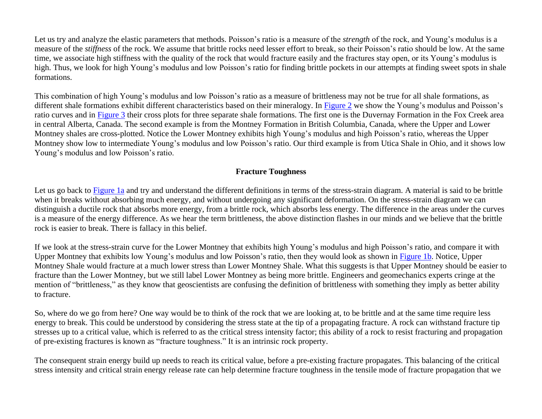Let us try and analyze the elastic parameters that methods. Poisson's ratio is a measure of the *strength* of the rock, and Young's modulus is a measure of the *stiffness* of the rock. We assume that brittle rocks need lesser effort to break, so their Poisson's ratio should be low. At the same time, we associate high stiffness with the quality of the rock that would fracture easily and the fractures stay open, or its Young's modulus is high. Thus, we look for high Young's modulus and low Poisson's ratio for finding brittle pockets in our attempts at finding sweet spots in shale formations.

This combination of high Young's modulus and low Poisson's ratio as a measure of brittleness may not be true for all shale formations, as different shale formations exhibit different characteristics based on their mineralogy. In [Figure 2](#page-4-0) we show the Young's modulus and Poisson's ratio curves and in [Figure 3](#page-5-0) their cross plots for three separate shale formations. The first one is the Duvernay Formation in the Fox Creek area in central Alberta, Canada. The second example is from the Montney Formation in British Columbia, Canada, where the Upper and Lower Montney shales are cross-plotted. Notice the Lower Montney exhibits high Young's modulus and high Poisson's ratio, whereas the Upper Montney show low to intermediate Young's modulus and low Poisson's ratio. Our third example is from Utica Shale in Ohio, and it shows low Young's modulus and low Poisson's ratio.

## **Fracture Toughness**

Let us go back t[o Figure 1a](#page-3-0) and try and understand the different definitions in terms of the stress-strain diagram. A material is said to be brittle when it breaks without absorbing much energy, and without undergoing any significant deformation. On the stress-strain diagram we can distinguish a ductile rock that absorbs more energy, from a brittle rock, which absorbs less energy. The difference in the areas under the curves is a measure of the energy difference. As we hear the term brittleness, the above distinction flashes in our minds and we believe that the brittle rock is easier to break. There is fallacy in this belief.

If we look at the stress-strain curve for the Lower Montney that exhibits high Young's modulus and high Poisson's ratio, and compare it with Upper Montney that exhibits low Young's modulus and low Poisson's ratio, then they would look as shown in [Figure 1b.](#page-3-0) Notice, Upper Montney Shale would fracture at a much lower stress than Lower Montney Shale. What this suggests is that Upper Montney should be easier to fracture than the Lower Montney, but we still label Lower Montney as being more brittle. Engineers and geomechanics experts cringe at the mention of "brittleness," as they know that geoscientists are confusing the definition of brittleness with something they imply as better ability to fracture.

So, where do we go from here? One way would be to think of the rock that we are looking at, to be brittle and at the same time require less energy to break. This could be understood by considering the stress state at the tip of a propagating fracture. A rock can withstand fracture tip stresses up to a critical value, which is referred to as the critical stress intensity factor; this ability of a rock to resist fracturing and propagation of pre-existing fractures is known as "fracture toughness." It is an intrinsic rock property.

The consequent strain energy build up needs to reach its critical value, before a pre-existing fracture propagates. This balancing of the critical stress intensity and critical strain energy release rate can help determine fracture toughness in the tensile mode of fracture propagation that we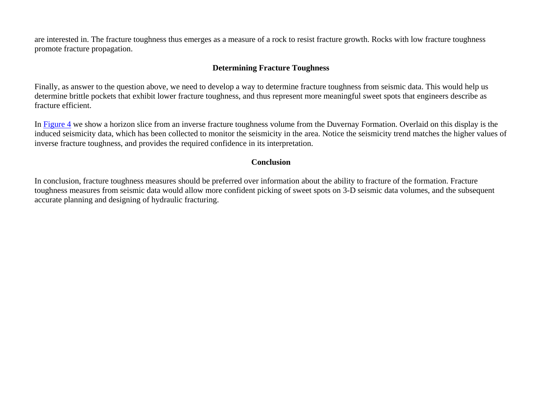are interested in. The fracture toughness thus emerges as a measure of a rock to resist fracture growth. Rocks with low fracture toughness promote fracture propagation.

## **Determining Fracture Toughness**

Finally, as answer to the question above, we need to develop a way to determine fracture toughness from seismic data. This would help us determine brittle pockets that exhibit lower fracture toughness, and thus represent more meaningful sweet spots that engineers describe as fracture efficient.

In [Figure 4](#page-6-0) we show a horizon slice from an inverse fracture toughness volume from the Duvernay Formation. Overlaid on this display is the induced seismicity data, which has been collected to monitor the seismicity in the area. Notice the seismicity trend matches the higher values of inverse fracture toughness, and provides the required confidence in its interpretation.

### **Conclusion**

In conclusion, fracture toughness measures should be preferred over information about the ability to fracture of the formation. Fracture toughness measures from seismic data would allow more confident picking of sweet spots on 3-D seismic data volumes, and the subsequent accurate planning and designing of hydraulic fracturing.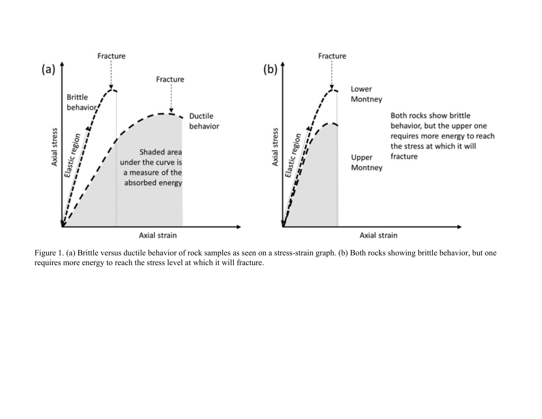<span id="page-3-0"></span>

Figure 1. (a) Brittle versus ductile behavior of rock samples as seen on a stress-strain graph. (b) Both rocks showing brittle behavior, but one requires more energy to reach the stress level at which it will fracture.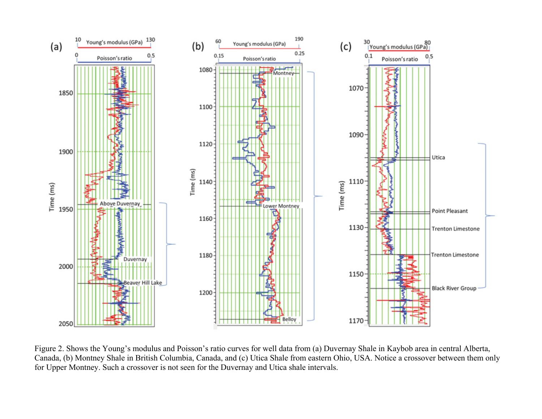<span id="page-4-0"></span>

Figure 2. Shows the Young's modulus and Poisson's ratio curves for well data from (a) Duvernay Shale in Kaybob area in central Alberta, Canada, (b) Montney Shale in British Columbia, Canada, and (c) Utica Shale from eastern Ohio, USA. Notice a crossover between them only for Upper Montney. Such a crossover is not seen for the Duvernay and Utica shale intervals.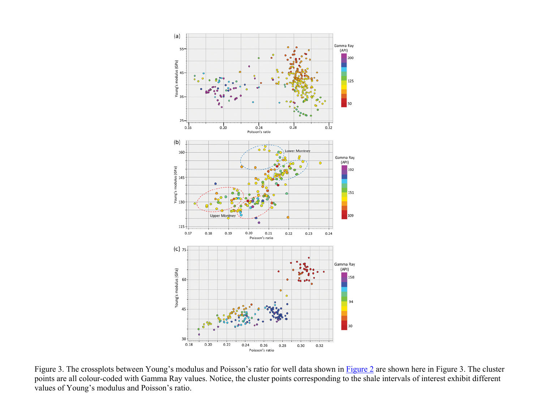<span id="page-5-0"></span>

Figure 3. The crossplots between Young's modulus and Poisson's ratio for well data shown in **[Figure 2](#page-4-0)** are shown here in Figure 3. The cluster points are all colour-coded with Gamma Ray values. Notice, the cluster points corresponding to the shale intervals of interest exhibit different values of Young's modulus and Poisson's ratio.